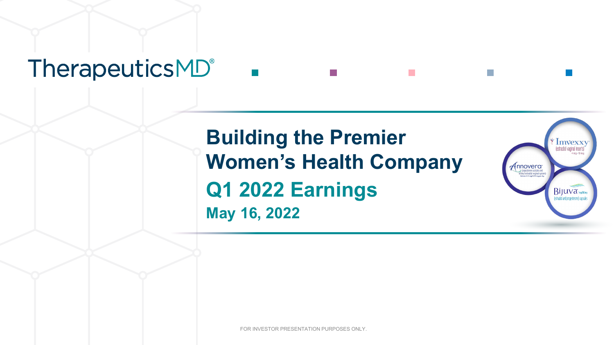# TherapeuticsMD®

# **Building the Premier Women's Health Company Q1 2022 Earnings May 16, 2022**

**Contract Contract Contract** 

 $\mathcal{L}^{\mathcal{L}}$ 

**College** 



m.

FOR INVESTOR PRESENTATION PURPOSES ONLY.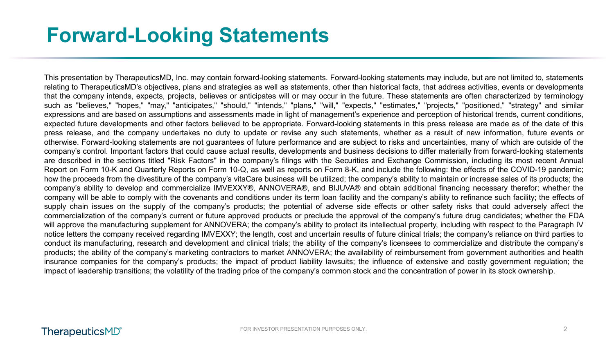# **Forward-Looking Statements**

This presentation by TherapeuticsMD, Inc. may contain forward-looking statements. Forward-looking statements may include, but are not limited to, statements relating to TherapeuticsMD's objectives, plans and strategies as well as statements, other than historical facts, that address activities, events or developments that the company intends, expects, projects, believes or anticipates will or may occur in the future. These statements are often characterized by terminology such as "believes," "hopes," "may," "anticipates," "should," "intends," "plans," "will," "expects," "estimates," "projects," "positioned," "strategy" and similar expressions and are based on assumptions and assessments made in light of management's experience and perception of historical trends, current conditions, expected future developments and other factors believed to be appropriate. Forward-looking statements in this press release are made as of the date of this press release, and the company undertakes no duty to update or revise any such statements, whether as a result of new information, future events or otherwise. Forward-looking statements are not guarantees of future performance and are subject to risks and uncertainties, many of which are outside of the company's control. Important factors that could cause actual results, developments and business decisions to differ materially from forward-looking statements are described in the sections titled "Risk Factors" in the company's filings with the Securities and Exchange Commission, including its most recent Annual Report on Form 10-K and Quarterly Reports on Form 10-Q, as well as reports on Form 8-K, and include the following: the effects of the COVID-19 pandemic; how the proceeds from the divestiture of the company's vitaCare business will be utilized; the company's ability to maintain or increase sales of its products; the company's ability to develop and commercialize IMVEXXY®, ANNOVERA®, and BIJUVA® and obtain additional financing necessary therefor; whether the company will be able to comply with the covenants and conditions under its term loan facility and the company's ability to refinance such facility; the effects of supply chain issues on the supply of the company's products; the potential of adverse side effects or other safety risks that could adversely affect the commercialization of the company's current or future approved products or preclude the approval of the company's future drug candidates; whether the FDA will approve the manufacturing supplement for ANNOVERA; the company's ability to protect its intellectual property, including with respect to the Paragraph IV notice letters the company received regarding IMVEXXY; the length, cost and uncertain results of future clinical trials; the company's reliance on third parties to conduct its manufacturing, research and development and clinical trials; the ability of the company's licensees to commercialize and distribute the company's products; the ability of the company's marketing contractors to market ANNOVERA; the availability of reimbursement from government authorities and health insurance companies for the company's products; the impact of product liability lawsuits; the influence of extensive and costly government regulation; the impact of leadership transitions; the volatility of the trading price of the company's common stock and the concentration of power in its stock ownership.

#### **TherapeuticsMD<sup>®</sup>**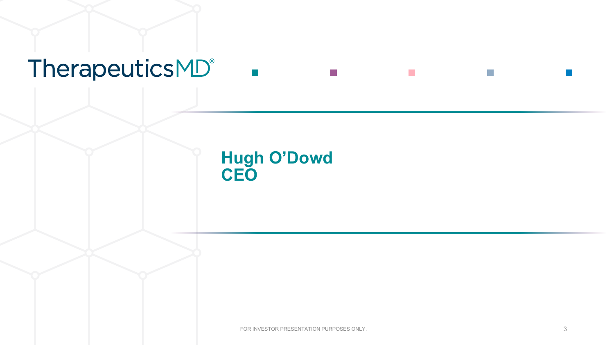#### TherapeuticsMD® the contract of the contract of  $\mathcal{L}^{\mathcal{L}}$  $\mathcal{C}^{\mathcal{A}}$

## **Hugh O'Dowd CEO**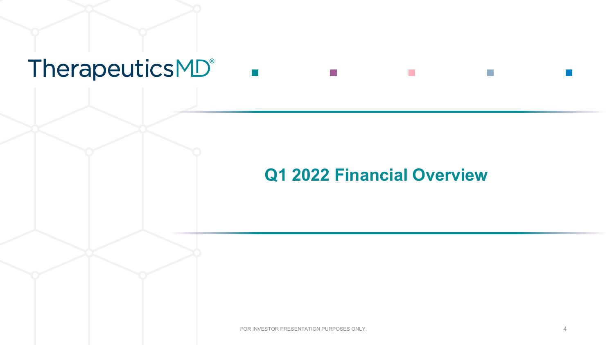#### TherapeuticsMD® **Contract Contract Contract Contract Contract**  $\mathcal{L}^{\mathcal{L}}$  $\left\vert \cdot\right\vert$

## **Q1 2022 Financial Overview**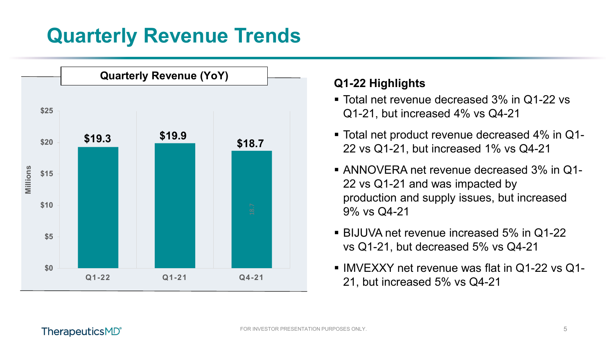# **Quarterly Revenue Trends**



## **Q1-22 Highlights**

- Total net revenue decreased 3% in Q1-22 vs Q1-21, but increased 4% vs Q4-21
- Total net product revenue decreased 4% in Q1- 22 vs Q1-21, but increased 1% vs Q4-21
- ANNOVERA net revenue decreased 3% in Q1- 22 vs Q1-21 and was impacted by production and supply issues, but increased 9% vs Q4-21
- BIJUVA net revenue increased 5% in Q1-22 vs Q1-21, but decreased 5% vs Q4-21
- IMVEXXY net revenue was flat in Q1-22 vs Q1- 21, but increased 5% vs Q4-21

## **TherapeuticsMD®**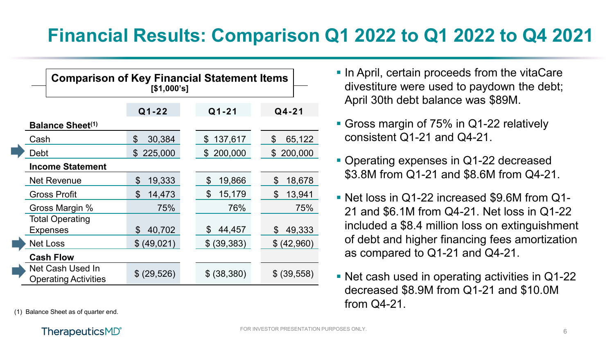## **Financial Results: Comparison Q1 2022 to Q1 2022 to Q4 2021**

| <b>Comparison of Key Financial Statement Items</b><br>[\$1,000's] |                           |               |                |
|-------------------------------------------------------------------|---------------------------|---------------|----------------|
|                                                                   | $Q1 - 22$                 | $Q1 - 21$     | $Q4 - 21$      |
| <b>Balance Sheet(1)</b>                                           |                           |               |                |
| Cash                                                              | \$<br>30,384              | \$137,617     | \$<br>65,122   |
| Debt                                                              | 225,000<br>$\mathfrak{L}$ | 200,000<br>\$ | 200,000<br>\$  |
| <b>Income Statement</b>                                           |                           |               |                |
| <b>Net Revenue</b>                                                | \$<br>19,333              | \$<br>19,866  | \$<br>18,678   |
| <b>Gross Profit</b>                                               | \$<br>14,473              | \$<br>15,179  | \$<br>13,941   |
| Gross Margin %                                                    | 75%                       | 76%           | 75%            |
| Total Operating<br><b>Expenses</b>                                | 40,702<br>\$              | 44,457<br>S   | 49,333<br>\$   |
| <b>Net Loss</b>                                                   | (49, 021)<br>\$           | \$ (39, 383)  | (42,960)<br>\$ |
| <b>Cash Flow</b>                                                  |                           |               |                |
| Net Cash Used In<br><b>Operating Activities</b>                   | \$ (29,526)               | \$ (38, 380)  | \$ (39, 558)   |

- **In April, certain proceeds from the vitaCare** divestiture were used to paydown the debt; April 30th debt balance was \$89M.
- Gross margin of 75% in Q1-22 relatively consistent Q1-21 and Q4-21.
- **Operating expenses in Q1-22 decreased** \$3.8M from Q1-21 and \$8.6M from Q4-21.
- Net loss in Q1-22 increased \$9.6M from Q1-21 and \$6.1M from Q4-21. Net loss in Q1-22 included a \$8.4 million loss on extinguishment of debt and higher financing fees amortization as compared to Q1-21 and Q4-21.
- Net cash used in operating activities in Q1-22 decreased \$8.9M from Q1-21 and \$10.0M from Q4-21.

(1) Balance Sheet as of quarter end.

## **TherapeuticsMD**<sup>®</sup>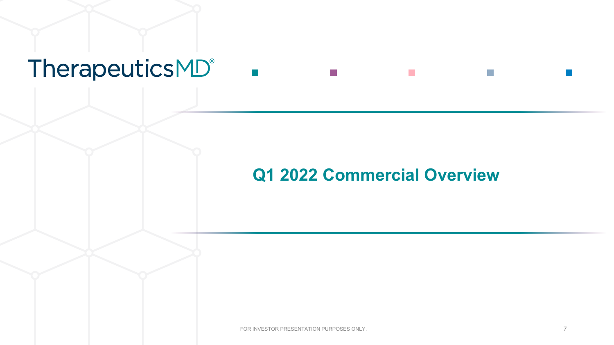#### TherapeuticsMD® **Contract Contract Contract Contract Contract**  $\mathcal{L}^{\mathcal{L}}$  $\left\vert \cdot\right\vert$

## **Q1 2022 Commercial Overview**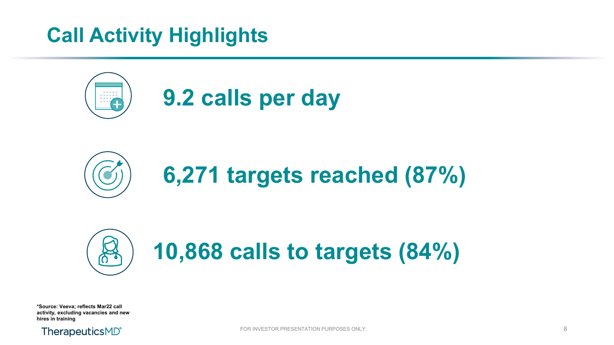# **Call Activity Highlights**



# **9.2 calls per day**





**\*Source: Veeva; reflects Mar22 call activity, excluding vacancies and new hires in training**

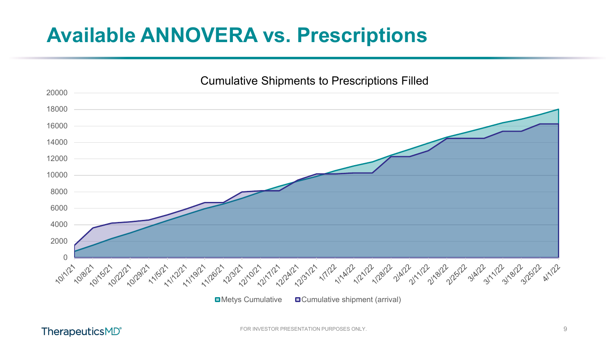# **Available ANNOVERA vs. Prescriptions**

Cumulative Shipments to Prescriptions Filled



## TherapeuticsMD®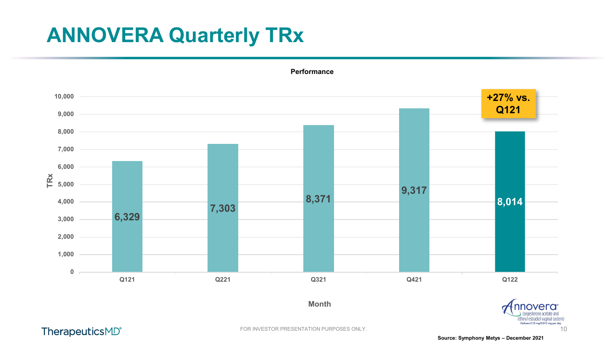# **ANNOVERA Quarterly TRx**

**6,329 7,303 8,371 9,317 8,014 0 1,000 2,000 3,000 4,000 5,000 6,000 7,000 8,000 9,000 10,000 Q121 Q221 Q321 Q421 Q122 TRx +27% vs. Q121**

**Performance**

**Month**



### TherapeuticsMD®

**Source: Symphony Metys – December 2021**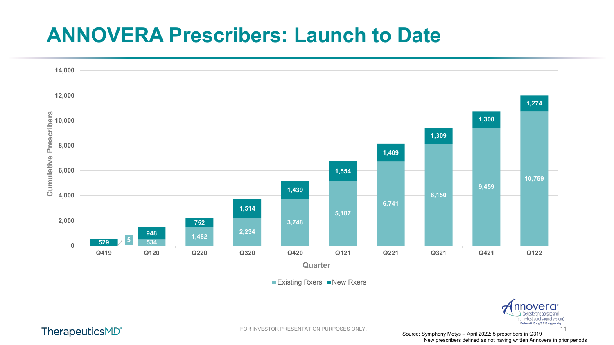## **ANNOVERA Prescribers: Launch to Date**



 $\blacksquare$  Existing Rxers  $\blacksquare$  New Rxers



### TherapeuticsMD®

FOR INVESTOR PRESENTATION PURPOSES ONLY.

Source: Symphony Metys – April 2022; 5 prescribers in Q319 New prescribers defined as not having written Annovera in prior periods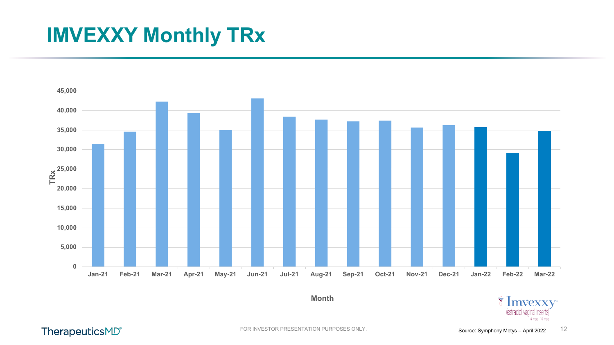# **IMVEXXY Monthly TRx**



**Month**

## TherapeuticsMD®

(estradiol vaginal inserts)

 $4 \text{ mog} \cdot 10 \text{ mog}$